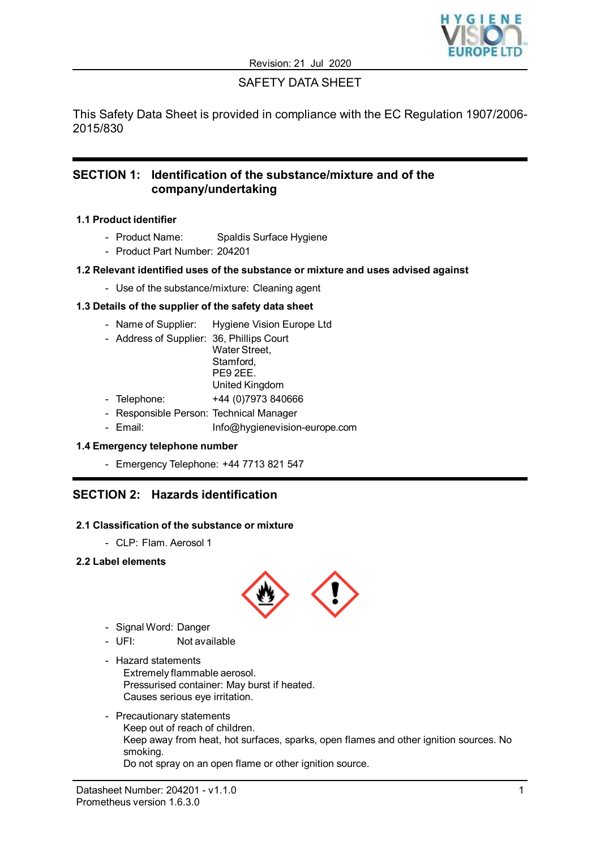

# SAFETY DATA SHEET

This Safety Data Sheet is provided in compliance with the EC Regulation 1907/2006- 2015/830

## **SECTION 1: Identification of the substance/mixture and of the company/undertaking**

## **1.1 Product identifier**

- Product Name: Spaldis Surface Hygiene
- Product Part Number: 204201

## **1.2 Relevant identified uses of the substance or mixture and uses advised against**

- Use of the substance/mixture: Cleaning agent

## **1.3 Details of the supplier of the safety data sheet**

- Name of Supplier: Hygiene Vision Europe Ltd
- Address of Supplier: 36, Phillips Court Water Street. Stamford, PE9 2EE. United Kingdom
- Telephone: +44 (0)7973 840666
- Responsible Person: Technical Manager
- Email: Info@hygienevision-europe.com

## **1.4 Emergency telephone number**

- Emergency Telephone: +44 7713 821 547

# **SECTION 2: Hazards identification**

### **2.1 Classification of the substance or mixture**

- CLP: Flam. Aerosol 1

## **2.2 Label elements**



- Signal Word: Danger
- UFI: Not available
- Hazard statements Extremely flammable aerosol. Pressurised container: May burst if heated. Causes serious eye irritation.
- Precautionary statements Keep out of reach of children. Keep away from heat, hot surfaces, sparks, open flames and other ignition sources. No smoking. Do not spray on an open flame or other ignition source.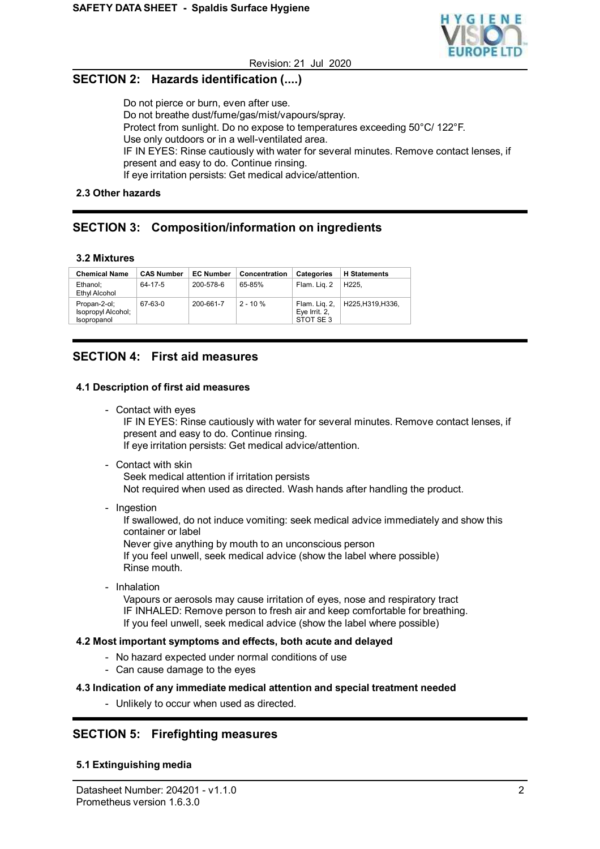

# **SECTION 2: Hazards identification (....)**

Do not pierce or burn, even after use. Do not breathe dust/fume/gas/mist/vapours/spray. Protect from sunlight. Do no expose to temperatures exceeding 50°C/ 122°F. Use only outdoors or in a well-ventilated area. IF IN EYES: Rinse cautiously with water for several minutes. Remove contact lenses, if present and easy to do. Continue rinsing. If eye irritation persists: Get medical advice/attention.

## **2.3 Other hazards**

# **SECTION 3: Composition/information on ingredients**

### **3.2 Mixtures**

| <b>Chemical Name</b>                              | <b>CAS Number</b> | <b>EC Number</b> | Concentration | Categories                                 | <b>H</b> Statements |
|---------------------------------------------------|-------------------|------------------|---------------|--------------------------------------------|---------------------|
| Ethanol;<br>Ethyl Alcohol                         | 64-17-5           | 200-578-6        | 65-85%        | Flam. Lig. 2                               | H <sub>225</sub> .  |
| Propan-2-ol;<br>Isopropyl Alcohol;<br>Isopropanol | 67-63-0           | 200-661-7        | $2 - 10%$     | Flam. Lig. 2,<br>Eye Irrit. 2,<br>STOT SE3 | H225.H319.H336.     |

## **SECTION 4: First aid measures**

## **4.1 Description of first aid measures**

- Contact with eyes

IF IN EYES: Rinse cautiously with water for several minutes. Remove contact lenses, if present and easy to do. Continue rinsing. If eye irritation persists: Get medical advice/attention.

- Contact with skin

Seek medical attention if irritation persists

Not required when used as directed. Wash hands after handling the product.

- Ingestion

If swallowed, do not induce vomiting: seek medical advice immediately and show this container or label

Never give anything by mouth to an unconscious person

If you feel unwell, seek medical advice (show the label where possible) Rinse mouth.

- Inhalation

Vapours or aerosols may cause irritation of eyes, nose and respiratory tract IF INHALED: Remove person to fresh air and keep comfortable for breathing. If you feel unwell, seek medical advice (show the label where possible)

## **4.2 Most important symptoms and effects, both acute and delayed**

- No hazard expected under normal conditions of use
- Can cause damage to the eyes

### **4.3 Indication of any immediate medical attention and special treatment needed**

- Unlikely to occur when used as directed.

# **SECTION 5: Firefighting measures**

## **5.1 Extinguishing media**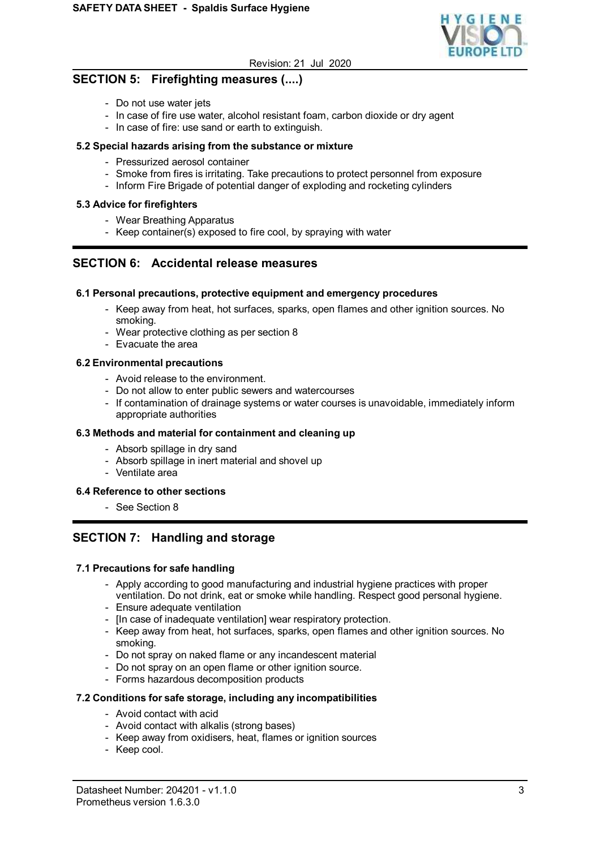

# **SECTION 5: Firefighting measures (....)**

- Do not use water jets
- In case of fire use water, alcohol resistant foam, carbon dioxide or dry agent
- In case of fire: use sand or earth to extinguish.

## **5.2 Special hazards arising from the substance or mixture**

- Pressurized aerosol container
- Smoke from fires is irritating. Take precautions to protect personnel from exposure
- Inform Fire Brigade of potential danger of exploding and rocketing cylinders

## **5.3 Advice for firefighters**

- Wear Breathing Apparatus
- Keep container(s) exposed to fire cool, by spraying with water

## **SECTION 6: Accidental release measures**

### **6.1 Personal precautions, protective equipment and emergency procedures**

- Keep away from heat, hot surfaces, sparks, open flames and other ignition sources. No smoking.
- Wear protective clothing as per section 8
- Evacuate the area

### **6.2 Environmental precautions**

- Avoid release to the environment.
- Do not allow to enter public sewers and watercourses
- If contamination of drainage systems or water courses is unavoidable, immediately inform appropriate authorities

### **6.3 Methods and material for containment and cleaning up**

- Absorb spillage in dry sand
- Absorb spillage in inert material and shovel up
- Ventilate area

### **6.4 Reference to other sections**

- See Section 8

# **SECTION 7: Handling and storage**

### **7.1 Precautions for safe handling**

- Apply according to good manufacturing and industrial hygiene practices with proper ventilation. Do not drink, eat or smoke while handling. Respect good personal hygiene.
- Ensure adequate ventilation
- [In case of inadequate ventilation] wear respiratory protection.
- Keep away from heat, hot surfaces, sparks, open flames and other ignition sources. No smoking.
- Do not spray on naked flame or any incandescent material
- Do not spray on an open flame or other ignition source.
- Forms hazardous decomposition products

## **7.2 Conditions for safe storage, including any incompatibilities**

- Avoid contact with acid
- Avoid contact with alkalis (strong bases)
- Keep away from oxidisers, heat, flames or ignition sources
- Keep cool.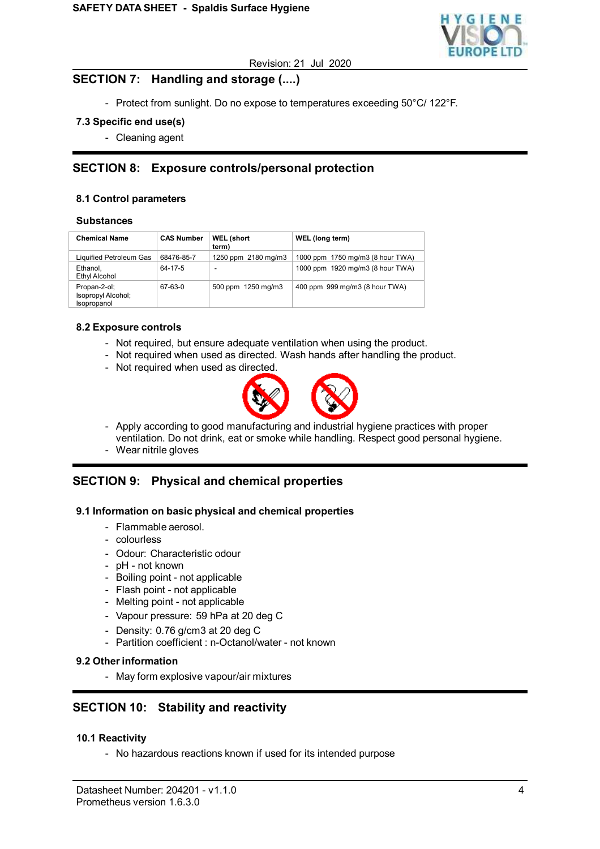

## **SECTION 7: Handling and storage (....)**

- Protect from sunlight. Do no expose to temperatures exceeding 50°C/ 122°F.

## **7.3 Specific end use(s)**

- Cleaning agent

# **SECTION 8: Exposure controls/personal protection**

## **8.1 Control parameters**

#### **Substances**

| <b>Chemical Name</b>                              | <b>CAS Number</b> | <b>WEL (short</b><br>term) | WEL (long term)                  |
|---------------------------------------------------|-------------------|----------------------------|----------------------------------|
| Liquified Petroleum Gas                           | 68476-85-7        | 1250 ppm 2180 mg/m3        | 1000 ppm 1750 mg/m3 (8 hour TWA) |
| Ethanol.<br>Ethyl Alcohol                         | 64-17-5           | $\overline{\phantom{a}}$   | 1000 ppm 1920 mg/m3 (8 hour TWA) |
| Propan-2-ol;<br>Isopropyl Alcohol;<br>Isopropanol | 67-63-0           | 500 ppm 1250 mg/m3         | 400 ppm 999 mg/m3 (8 hour TWA)   |

### **8.2 Exposure controls**

- Not required, but ensure adequate ventilation when using the product.
- Not required when used as directed. Wash hands after handling the product.
- Not required when used as directed.



- Apply according to good manufacturing and industrial hygiene practices with proper
- ventilation. Do not drink, eat or smoke while handling. Respect good personal hygiene.
- Wear nitrile gloves

## **SECTION 9: Physical and chemical properties**

### **9.1 Information on basic physical and chemical properties**

- Flammable aerosol.
- colourless
- Odour: Characteristic odour
- pH not known
- Boiling point not applicable
- Flash point not applicable
- Melting point not applicable
- Vapour pressure: 59 hPa at 20 deg C
- Density: 0.76 g/cm3 at 20 deg C
- Partition coefficient : n-Octanol/water not known

### **9.2 Other information**

- May form explosive vapour/air mixtures

## **SECTION 10: Stability and reactivity**

### **10.1 Reactivity**

- No hazardous reactions known if used for its intended purpose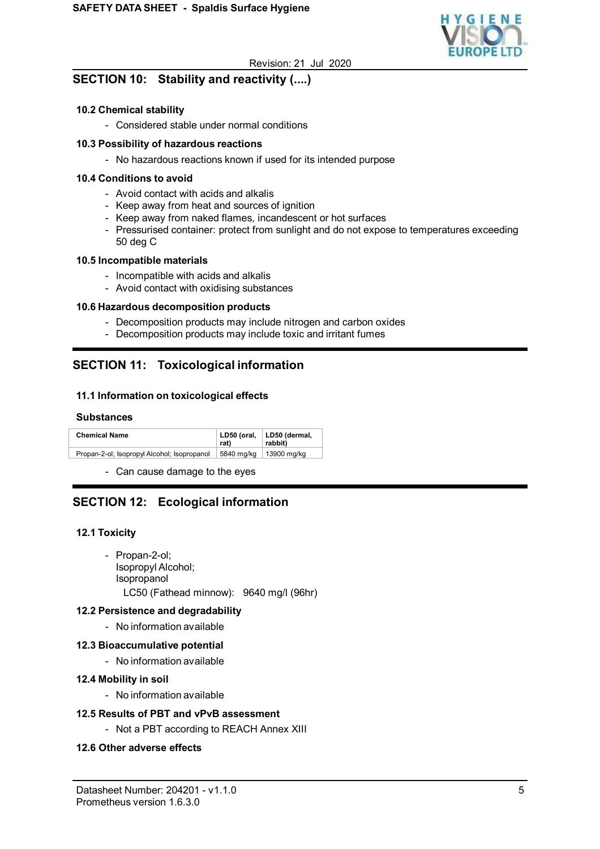

# **SECTION 10: Stability and reactivity (....)**

## **10.2 Chemical stability**

- Considered stable under normal conditions

## **10.3 Possibility of hazardous reactions**

- No hazardous reactions known if used for its intended purpose

### **10.4 Conditions to avoid**

- Avoid contact with acids and alkalis
- Keep away from heat and sources of ignition
- Keep away from naked flames, incandescent or hot surfaces
- Pressurised container: protect from sunlight and do not expose to temperatures exceeding 50 deg C

### **10.5 Incompatible materials**

- Incompatible with acids and alkalis
- Avoid contact with oxidising substances

## **10.6 Hazardous decomposition products**

- Decomposition products may include nitrogen and carbon oxides
- Decomposition products may include toxic and irritant fumes

# **SECTION 11: Toxicological information**

## **11.1 Information on toxicological effects**

## **Substances**

| <b>Chemical Name</b>                        | rat)       | LD50 (oral, LD50 (dermal,<br>rabbit) |
|---------------------------------------------|------------|--------------------------------------|
| Propan-2-ol; Isopropyl Alcohol; Isopropanol | 5840 mg/kg | 13900 mg/kg                          |

- Can cause damage to the eyes

# **SECTION 12: Ecological information**

### **12.1 Toxicity**

- Propan-2-ol; Isopropyl Alcohol; Isopropanol LC50 (Fathead minnow): 9640 mg/l (96hr)

### **12.2 Persistence and degradability**

- No information available

## **12.3 Bioaccumulative potential**

- No information available

## **12.4 Mobility in soil**

- No information available

## **12.5 Results of PBT and vPvB assessment**

- Not a PBT according to REACH Annex XIII

## **12.6 Other adverse effects**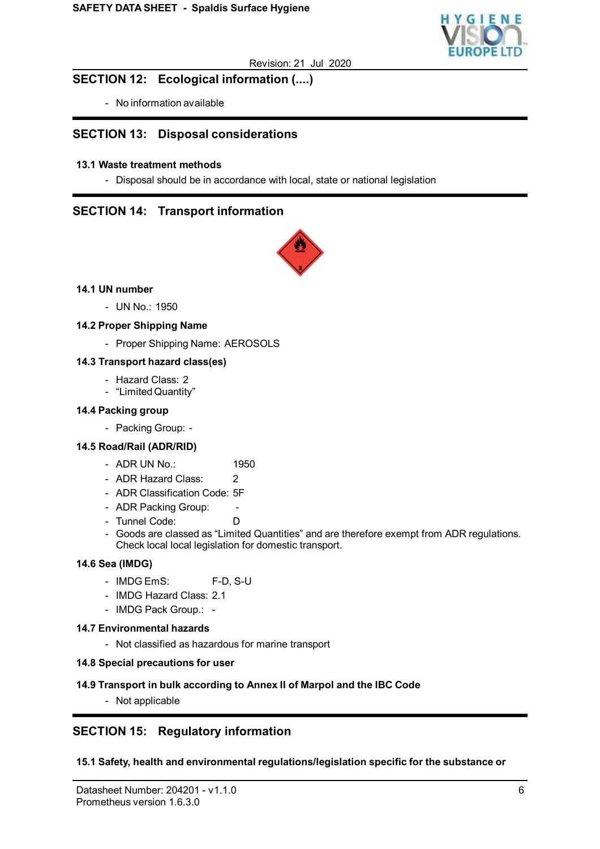

## **SECTION 12: Ecological information (....)**

- No information available

## **SECTION 13: Disposal considerations**

## **13.1 Waste treatment methods**

- Disposal should be in accordance with local, state or national legislation

## **SECTION 14: Transport information**



## **14.1 UN number**

- UN No.: 1950

## **14.2 Proper Shipping Name**

- Proper Shipping Name: AEROSOLS

### **14.3 Transport hazard class(es)**

- Hazard Class: 2
- "Limited Quantity"

## **14.4 Packing group**

- Packing Group: -

### **14.5 Road/Rail (ADR/RID)**

- ADR UN No.: 1950
- ADR Hazard Class: 2
- ADR Classification Code: 5F
- ADR Packing Group:
- Tunnel Code: D
- Goods are classed as "Limited Quantities" and are therefore exempt from ADR regulations. Check local local legislation for domestic transport.

### **14.6 Sea (IMDG)**

- IMDG EmS: F-D, S-U
- IMDG Hazard Class: 2.1
- IMDG Pack Group.: -

### **14.7 Environmental hazards**

- Not classified as hazardous for marine transport

### **14.8 Special precautions for user**

### **14.9 Transport in bulk according to Annex II of Marpol and the IBC Code**

- Not applicable

# **SECTION 15: Regulatory information**

### **15.1 Safety, health and environmental regulations/legislation specific for the substance or**